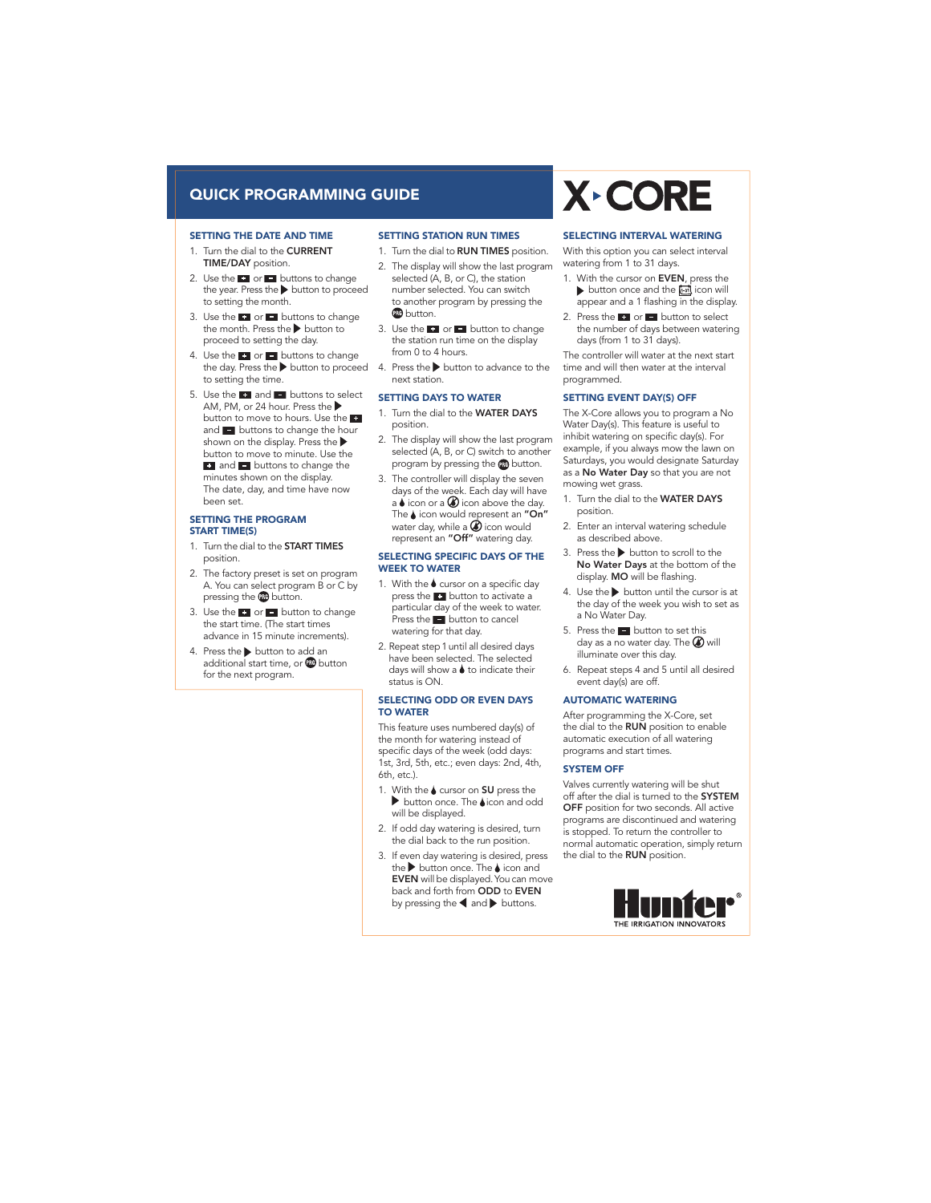# Quick Programming Guide

#### Setting the Date and Time

- 1. Turn the dial to the CURRENT TIME/DAY position.
- 2. Use the  $\bullet$  or  $\bullet$  buttons to change the year. Press the  $\blacktriangleright$  button to proceed to setting the month.
- 3. Use the  $\bullet$  or  $\bullet$  buttons to change the month. Press the  $\blacktriangleright$  button to proceed to setting the day.
- 4. Use the  $\Box$  or  $\Box$  buttons to change to setting the time.
- 5. Use the  $\bullet$  and  $\bullet$  buttons to select AM, PM, or 24 hour. Press the button to move to hours. Use the and  $\blacksquare$  buttons to change the hour shown on the display. Press the button to move to minute. Use the  $\blacksquare$  and  $\blacksquare$  buttons to change the minutes shown on the display. The date, day, and time have now been set.

#### Setting the Program Start Time(s)

- 1. Turn the dial to the **START TIMES** position.
- 2. The factory preset is set on program A. You can select program B or C by pressing the **co** button.
- 3. Use the  $\Box$  or  $\Box$  button to change the start time. (The start times advance in 15 minute increments).
- 4. Press the **button** to add an additional start time, or **a** button for the next program.

#### SETTING STATION RUN TIMES

- 1. Turn the dial to **RUN TIMES** position.
- 2. The display will show the last program selected (A, B, or C), the station number selected. You can switch to another program by pressing the **BB** button.
- 3. Use the  $\rightarrow$  or  $\rightarrow$  button to change the station run time on the display from 0 to 4 hours.
- the day. Press the  $\blacktriangleright$  button to proceed  $\;$  4. Press the  $\blacktriangleright$  button to advance to the next station.

#### SETTING DAYS TO WATER

- 1. Turn the dial to the WATER DAYS position.
- 2. The display will show the last program selected (A, B, or C) switch to another program by pressing the **co** button.
- days of the week. Each day will have 3. The controller will display the seven  $a \triangle$  icon or a  $\bigcirc$  icon above the day. The  $\blacklozenge$  icon would represent an "On" water day, while a  $\bigcirc$  icon would represent an "Off" watering day.

#### Selecting Specific Days of the WEEK TO WATER

- 1. With the  $\bullet$  cursor on a specific day press the **c** button to activate a particular day of the week to water. Press the  $\blacksquare$  button to cancel watering for that day.
- 2. Repeat step 1 until all desired days have been selected. The selected days will show a  $\blacklozenge$  to indicate their status is ON.

#### Selecting Odd or Even Days to Water

This feature uses numbered day(s) of the month for watering instead of specific days of the week (odd days: 1st, 3rd, 5th, etc.; even days: 2nd, 4th, 6th, etc.).

- 1. With the  $\triangle$  cursor on SU press the  $\blacktriangleright$  button once. The  $\blacklozenge$ icon and odd will be displayed.
- 2. If odd day watering is desired, turn the dial back to the run position.
- 3. If even day watering is desired, press the  $\blacktriangleright$  button once. The  $\blacklozenge$  icon and EVEN will be displayed.You can move back and forth from ODD to EVEN by pressing the  $\blacktriangleleft$  and  $\blacktriangleright$  buttons.

# **X-CORE**

#### Selecting Interval Watering

With this option you can select interval watering from 1 to 31 days.

- 1. With the cursor on EVEN, press the button once and the  $\overline{u}$  icon will appear and a 1 flashing in the display.
- 2. Press the  $\bullet$  or  $\bullet$  button to select the number of days between watering days (from 1 to 31 days).

The controller will water at the next start time and will then water at the interval programmed.

### SETTING EVENT DAY(S) OFF

The X-Core allows you to program a No Water Day(s). This feature is useful to inhibit watering on specific day(s). For example, if you always mow the lawn on Saturdays, you would designate Saturday as a No Water Day so that you are not mowing wet grass.

- 1. Turn the dial to the WATER DAYS position.
- 2. Enter an interval watering schedule as described above.
- 3. Press the  $\blacktriangleright$  button to scroll to the No Water Days at the bottom of the display. MO will be flashing.
- 4. Use the  $\blacktriangleright$  button until the cursor is at the day of the week you wish to set as a No Water Day.
- 5. Press the  $\Box$  button to set this day as a no water day. The  $\circledR$  will illuminate over this day.
- 6. Repeat steps 4 and 5 until all desired event day(s) are off.

## Automatic Watering

After programming the X-Core, set the dial to the **RUN** position to enable automatic execution of all watering programs and start times.

#### SYSTEM OFF

Valves currently watering will be shut off after the dial is turned to the SYSTEM OFF position for two seconds. All active programs are discontinued and watering is stopped. To return the controller to normal automatic operation, simply return<br>the dial to the **RUN** position.